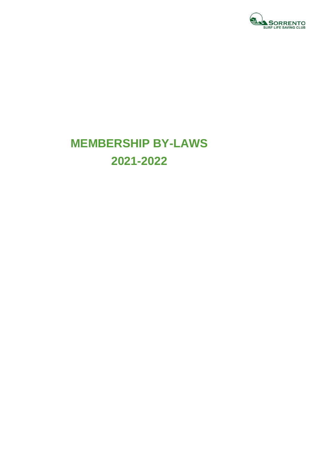

# **MEMBERSHIP BY-LAWS 2021-2022**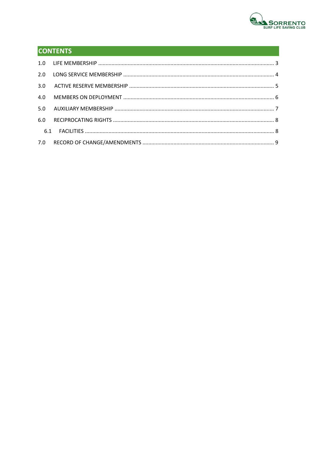

### **CONTENTS**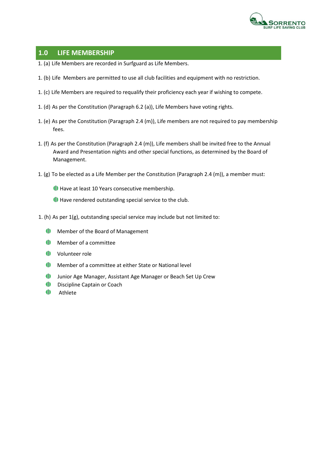

#### **1.0 LIFE MEMBERSHIP**

- 1. (a) Life Members are recorded in Surfguard as Life Members.
- 1. (b) Life Members are permitted to use all club facilities and equipment with no restriction.
- 1. (c) Life Members are required to requalify their proficiency each year if wishing to compete.
- 1. (d) As per the Constitution (Paragraph 6.2 (a)), Life Members have voting rights.
- 1. (e) As per the Constitution (Paragraph 2.4 (m)), Life members are not required to pay membership fees.
- 1. (f) As per the Constitution (Paragraph 2.4 (m)), Life members shall be invited free to the Annual Award and Presentation nights and other special functions, as determined by the Board of Management.
- 1. (g) To be elected as a Life Member per the Constitution (Paragraph 2.4 (m)), a member must:
	- Have at least 10 Years consecutive membership.
	- Have rendered outstanding special service to the club.
- 1. (h) As per 1(g), outstanding special service may include but not limited to:
	- **ID** Member of the Board of Management
	- $\blacksquare$ Member of a committee
	- Volunteer role
	- Member of a committee at either State or National level
	- $\blacksquare$ Junior Age Manager, Assistant Age Manager or Beach Set Up Crew
	- $\blacksquare$ Discipline Captain or Coach
	- $\blacksquare$ Athlete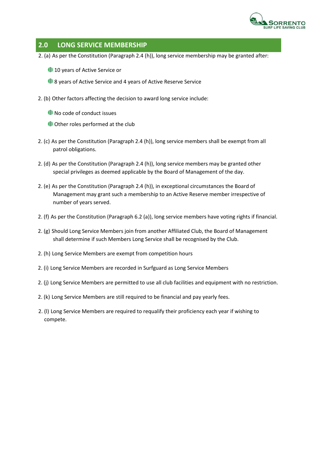

#### **2.0 LONG SERVICE MEMBERSHIP**

2. (a) As per the Constitution (Paragraph 2.4 (h)), long service membership may be granted after:

<sup>1</sup> 10 years of Active Service or

**1**8 years of Active Service and 4 years of Active Reserve Service

2. (b) Other factors affecting the decision to award long service include:

No code of conduct issues

Other roles performed at the club

- 2. (c) As per the Constitution (Paragraph 2.4 (h)), long service members shall be exempt from all patrol obligations.
- 2. (d) As per the Constitution (Paragraph 2.4 (h)), long service members may be granted other special privileges as deemed applicable by the Board of Management of the day.
- 2. (e) As per the Constitution (Paragraph 2.4 (h)), in exceptional circumstances the Board of Management may grant such a membership to an Active Reserve member irrespective of number of years served.
- 2. (f) As per the Constitution (Paragraph 6.2 (a)), long service members have voting rights if financial.
- 2. (g) Should Long Service Members join from another Affiliated Club, the Board of Management shall determine if such Members Long Service shall be recognised by the Club.
- 2. (h) Long Service Members are exempt from competition hours
- 2. (i) Long Service Members are recorded in Surfguard as Long Service Members
- 2. (j) Long Service Members are permitted to use all club facilities and equipment with no restriction.
- 2. (k) Long Service Members are still required to be financial and pay yearly fees.
- 2. (l) Long Service Members are required to requalify their proficiency each year if wishing to compete.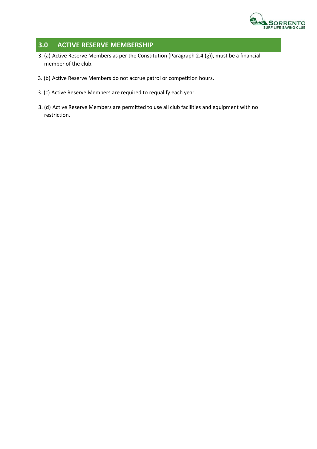

#### **3.0 ACTIVE RESERVE MEMBERSHIP**

- 3. (a) Active Reserve Members as per the Constitution (Paragraph 2.4 (g)), must be a financial member of the club.
- 3. (b) Active Reserve Members do not accrue patrol or competition hours.
- 3. (c) Active Reserve Members are required to requalify each year.
- 3. (d) Active Reserve Members are permitted to use all club facilities and equipment with no restriction.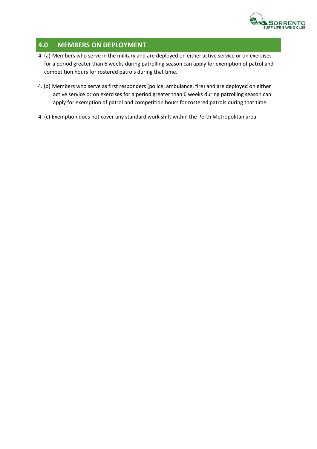

#### **4.0 MEMBERS ON DEPLOYMENT**

- 4. (a) Members who serve in the military and are deployed on either active service or on exercises for a period greater than 6 weeks during patrolling season can apply for exemption of patrol and competition hours for rostered patrols during that time.
- 4. (b) Members who serve as first responders (police, ambulance, fire) and are deployed on either active service or on exercises for a period greater than 6 weeks during patrolling season can apply for exemption of patrol and competition hours for rostered patrols during that time.
- 4. (c) Exemption does not cover any standard work shift within the Perth Metropolitan area.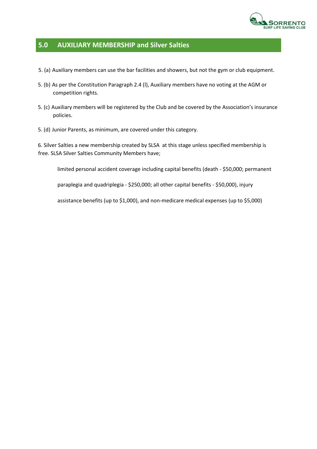

#### **5.0 AUXILIARY MEMBERSHIP and Silver Salties**

- 5. (a) Auxiliary members can use the bar facilities and showers, but not the gym or club equipment.
- 5. (b) As per the Constitution Paragraph 2.4 (l), Auxiliary members have no voting at the AGM or competition rights.
- 5. (c) Auxiliary members will be registered by the Club and be covered by the Association's insurance policies.
- 5. (d) Junior Parents, as minimum, are covered under this category.

6. Silver Salties a new membership created by SLSA at this stage unless specified membership is free. SLSA Silver Salties Community Members have;

limited personal accident coverage including capital benefits (death - \$50,000; permanent

paraplegia and quadriplegia - \$250,000; all other capital benefits - \$50,000), injury

assistance benefits (up to \$1,000), and non-medicare medical expenses (up to \$5,000)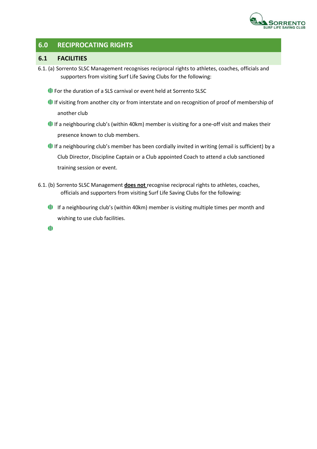

#### **6.0 RECIPROCATING RIGHTS**

#### **6.1 FACILITIES**

- 6.1. (a) Sorrento SLSC Management recognises reciprocal rights to athletes, coaches, officials and supporters from visiting Surf Life Saving Clubs for the following:
	- **ID** For the duration of a SLS carnival or event held at Sorrento SLSC
	- If visiting from another city or from interstate and on recognition of proof of membership of another club
	- If a neighbouring club's (within 40km) member is visiting for a one-off visit and makes their presence known to club members.
	- If a neighbouring club's member has been cordially invited in writing (email is sufficient) by a Club Director, Discipline Captain or a Club appointed Coach to attend a club sanctioned training session or event.
- 6.1. (b) Sorrento SLSC Management **does not** recognise reciprocal rights to athletes, coaches, officials and supporters from visiting Surf Life Saving Clubs for the following:
	- If a neighbouring club's (within 40km) member is visiting multiple times per month and wishing to use club facilities.

 $\bullet$